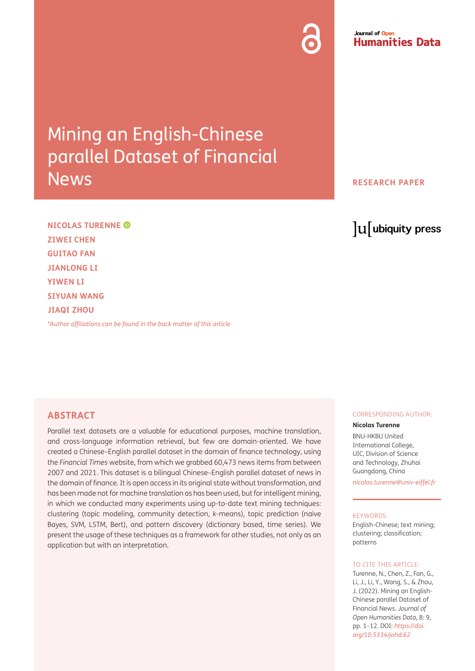# Mining an English-Chinese parallel Dataset of Financial **News**

#### Journal of Open **Humanities Data**

**RESEARCH PAPER**

# lu ubiquity press

**NICOLAS TURENNE ZIWEI CHEN GUITAO FAN JIANLONG LI YIWEN LI SIYUAN WANG JIAQI ZHOU**

*[\\*Author affiliations can be found in the back matter of this article](#page-8-0)*

# **ABSTRACT**

Parallel text datasets are a valuable for educational purposes, machine translation, and cross-language information retrieval, but few are domain-oriented. We have created a Chinese–English parallel dataset in the domain of finance technology, using the *Financial Times* website, from which we grabbed 60,473 news items from between 2007 and 2021. This dataset is a bilingual Chinese–English parallel dataset of news in the domain of finance. It is open access in its original state without transformation, and has been made not for machine translation as has been used, but for intelligent mining, in which we conducted many experiments using up-to-date text mining techniques: clustering (topic modeling, community detection, *k*-means), topic prediction (naive Bayes, SVM, LSTM, Bert), and pattern discovery (dictionary based, time series). We present the usage of these techniques as a framework for other studies, not only as an application but with an interpretation.

#### CORRESPONDING AUTHOR:

#### **Nicolas Turenne**

BNU-HKBU United International College, UIC, Division of Science and Technology, Zhuhai Guangdong, China *[nicolas.turenne@univ-eiffel.fr](mailto:nicolas.turenne@univ-eiffel.fr)*

#### KEYWORDS:

English-Chinese; text mining; clustering; classification; patterns

#### TO CITE THIS ARTICLE:

Turenne, N., Chen, Z., Fan, G., Li, J., Li, Y., Wang, S., & Zhou, J. (2022). Mining an English-Chinese parallel Dataset of Financial News. *Journal of Open Humanities Data*, 8: 9, pp. 1–12. DOI: *[https://doi.](https://doi.org/10.5334/johd.62) [org/10.5334/johd.62](https://doi.org/10.5334/johd.62)*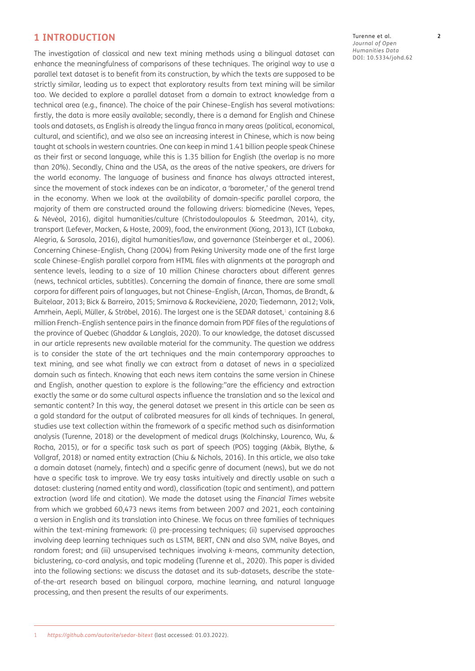# **1 INTRODUCTION**

The investigation of classical and new text mining methods using a bilingual dataset can enhance the meaningfulness of comparisons of these techniques. The original way to use a parallel text dataset is to benefit from its construction, by which the texts are supposed to be strictly similar, leading us to expect that exploratory results from text mining will be similar too. We decided to explore a parallel dataset from a domain to extract knowledge from a technical area (e.g., finance). The choice of the pair Chinese–English has several motivations: firstly, the data is more easily available; secondly, there is a demand for English and Chinese tools and datasets, as English is already the lingua franca in many areas (political, economical, cultural, and scientific), and we also see an increasing interest in Chinese, which is now being taught at schools in western countries. One can keep in mind 1.41 billion people speak Chinese as their first or second language, while this is 1.35 billion for English (the overlap is no more than 20%). Secondly, China and the USA, as the areas of the native speakers, are drivers for the world economy. The language of business and finance has always attracted interest, since the movement of stock indexes can be an indicator, a 'barometer,' of the general trend in the economy. When we look at the availability of domain-specific parallel corpora, the majority of them are constructed around the following drivers: biomedicine [\(Neves, Yepes,](#page-10-0)  [& Névéol, 2016](#page-10-0)), digital humanities/culture [\(Christodoulopoulos & Steedman, 2014](#page-9-0)), city, transport [\(Lefever, Macken, & Hoste, 2009\)](#page-10-0), food, the environment ([Xiong, 2013\)](#page-11-0), ICT ([Labaka,](#page-9-0)  [Alegria, & Sarasola, 2016\)](#page-9-0), digital humanities/law, and governance [\(Steinberger et al., 2006](#page-10-0)). Concerning Chinese–English, [Chang \(2004\)](#page-9-0) from Peking University made one of the first large scale Chinese–English parallel corpora from HTML files with alignments at the paragraph and sentence levels, leading to a size of 10 million Chinese characters about different genres (news, technical articles, subtitles). Concerning the domain of finance, there are some small corpora for different pairs of languages, but not Chinese–English, ([Arcan, Thomas, de Brandt, &](#page-8-1)  [Buitelaar, 2013](#page-8-1); [Bick & Barreiro, 2015;](#page-9-0) [Smirnova & Rackevi](#page-10-0)čienė, 2020; [Tiedemann, 2012](#page-11-0); [Volk,](#page-11-0)  [Amrhein, Aepli, Müller, & Ströbel, 2016](#page-11-0)). The largest one is the SEDAR dataset, $1$  containing 8.6 million French–English sentence pairs in the finance domain from PDF files of the regulations of the province of Quebec ([Ghaddar & Langlais, 2020\)](#page-9-0). To our knowledge, the dataset discussed in our article represents new available material for the community. The question we address is to consider the state of the art techniques and the main contemporary approaches to text mining, and see what finally we can extract from a dataset of news in a specialized domain such as fintech. Knowing that each news item contains the same version in Chinese and English, another question to explore is the following:"are the efficiency and extraction exactly the same or do some cultural aspects influence the translation and so the lexical and semantic content? In this way, the general dataset we present in this article can be seen as a gold standard for the output of calibrated measures for all kinds of techniques. In general, studies use text collection within the framework of a specific method such as disinformation analysis ([Turenne, 2018\)](#page-11-0) or the development of medical drugs ([Kolchinsky, Lourenco, Wu, &](#page-9-0)  [Rocha, 2015\)](#page-9-0), or for a specific task such as part of speech (POS) tagging ([Akbik, Blythe, &](#page-8-1)  [Vollgraf, 2018\)](#page-8-1) or named entity extraction ([Chiu & Nichols, 2016\)](#page-9-0). In this article, we also take a domain dataset (namely, fintech) and a specific genre of document (news), but we do not have a specific task to improve. We try easy tasks intuitively and directly usable on such a dataset: clustering (named entity and word), classification (topic and sentiment), and pattern extraction (word life and citation). We made the dataset using the *Financial Times* website from which we grabbed 60,473 news items from between 2007 and 2021, each containing a version in English and its translation into Chinese. We focus on three families of techniques within the text-mining framework: (i) pre-processing techniques; (ii) supervised approaches involving deep learning techniques such as LSTM, BERT, CNN and also SVM, naïve Bayes, and random forest; and (iii) unsupervised techniques involving *k*-means, community detection, biclustering, co-cord analysis, and topic modeling ([Turenne et al., 2020\)](#page-11-0). This paper is divided into the following sections: we discuss the dataset and its sub-datasets, describe the stateof-the-art research based on bilingual corpora, machine learning, and natural language processing, and then present the results of our experiments.

Turenne et al. **2** *Journal of Open Humanities Data* DOI: [10.5334/johd.62](https://doi.org/10.5334/johd.62)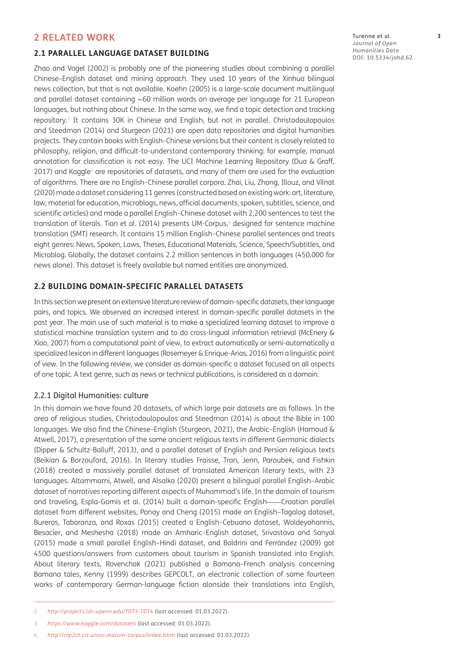# **2 RELATED WORK**

#### **2.1 PARALLEL LANGUAGE DATASET BUILDING**

[Zhao and Vogel \(2002\)](#page-11-0) is probably one of the pioneering studies about combining a parallel Chinese–English dataset and mining approach. They used 10 years of the Xinhua bilingual news collection, but that is not available. [Koehn \(2005\)](#page-9-0) is a large-scale document multilingual and parallel dataset containing ∼60 million words on average per language for 21 European languages, but nothing about Chinese. In the same way, we find a topic detection and tracking repository.2 It contains 30K in Chinese and English, but not in parallel. [Christodoulopoulos](#page-9-0)  [and Steedman \(2014\)](#page-9-0) and [Sturgeon \(2021\)](#page-10-0) are open data repositories and digital humanities projects. They contain books with English–Chinese versions but their content is closely related to philosophy, religion, and difficult-to-understand contemporary thinking: for example, manual annotation for classification is not easy. The UCI Machine Learning Repository ([Dua & Graff,](#page-9-0)  [2017](#page-9-0)) and Kaggle $^{\text{3}}$  are repositories of datasets, and many of them are used for the evaluation of algorithms. There are no English–Chinese parallel corpora. [Zhai, Liu, Zhong, Illouz, and Vilnat](#page-11-0)  [\(2020\)](#page-11-0) made a dataset considering 11 genres (constructed based on existing work: art, literature, law, material for education, microblogs, news, official documents, spoken, subtitles, science, and scientific articles) and made a parallel English–Chinese dataset with 2,200 sentences to test the translation of literals. [Tian et al. \(2014\)](#page-10-0) presents UM-Corpus,4 designed for sentence machine translation (SMT) research. It contains 15 million English–Chinese parallel sentences and treats eight genres: News, Spoken, Laws, Theses, Educational Materials, Science, Speech/Subtitles, and Microblog. Globally, the dataset contains 2.2 million sentences in both languages (450,000 for news alone). This dataset is freely available but named entities are anonymized.

#### **2.2 BUILDING DOMAIN-SPECIFIC PARALLEL DATASETS**

In this section we present an extensive literature review of domain-specific datasets, their language pairs, and topics. We observed an increased interest in domain-specific parallel datasets in the past year. The main use of such material is to make a specialized learning dataset to improve a statistical machine translation system and to do cross-lingual information retrieval [\(McEnery &](#page-10-0)  [Xiao, 2007](#page-10-0)) from a computational point of view, to extract automatically or semi-automatically a specialized lexicon in different languages [\(Rosemeyer & Enrique-Arias, 2016](#page-10-0)) from a linguistic point of view. In the following review, we consider as domain-specific a dataset focused on all aspects of one topic. A text genre, such as news or technical publications, is considered as a domain.

#### 2.2.1 Digital Humanities: culture

In this domain we have found 20 datasets, of which large pair datasets are as follows. In the area of religious studies, [Christodoulopoulos and Steedman \(2014\)](#page-9-0) is about the Bible in 100 languages. We also find the Chinese–English [\(Sturgeon, 2021\)](#page-10-0), the Arabic–English ([Hamoud &](#page-9-0)  [Atwell, 2017\)](#page-9-0), a presentation of the same ancient religious texts in different Germanic dialects ([Dipper & Schultz-Balluff, 2013](#page-9-0)), and a parallel dataset of English and Persian religious texts ([Beikian & Borzoufard, 2016\)](#page-8-1). In literary studies [Fraisse, Tran, Jenn, Paroubek, and Fishkin](#page-9-0)  [\(2018\)](#page-9-0) created a massively parallel dataset of translated American literary texts, with 23 languages. [Altammami, Atwell, and Alsalka \(2020\)](#page-8-1) present a bilingual parallel English–Arabic dataset of narratives reporting different aspects of Muhammad's life. In the domain of tourism and traveling, [Espla-Gomis et al. \(2014\)](#page-9-0) built a domain-specific English——Croatian parallel dataset from different websites, [Ponay and Cheng \(2015\)](#page-10-0) made an English–Tagalog dataset, [Bureros, Tabaranza, and Roxas \(2015\)](#page-9-0) created a English–Cebuano dataset, [Woldeyohannis,](#page-11-0)  [Besacier, and Meshesha \(2018\)](#page-11-0) made an Amharic–English dataset, [Srivastava and Sanyal](#page-10-0)  [\(2015\)](#page-10-0) made a small parallel English–Hindi dataset, and [Boldrini and Ferrández \(2009\)](#page-9-0) got 4500 questions/answers from customers about tourism in Spanish translated into English. About literary texts, [Rovenchak \(2021\)](#page-10-0) published a Bamana–French analysis concerning Bamana tales, [Kenny \(1999\)](#page-9-0) describes GEPCOLT, an electronic collection of some fourteen works of contemporary German-language fiction alonside their translations into English,

Turenne et al. **3** *Journal of Open Humanities Data* DOI: [10.5334/johd.62](https://doi.org/10.5334/johd.62)

<sup>2</sup> *<http://projects.ldc.upenn.edu/TDT3-TDT4>* (last accessed: 01.03.2022).

<sup>3</sup> *<https://www.kaggle.com/datasets>* (last accessed: 01.03.2022).

<sup>4</sup> *<http://nlp2ct.cis.umac.mo/um-corpus/index.html>* (last accessed: 01.03.2022).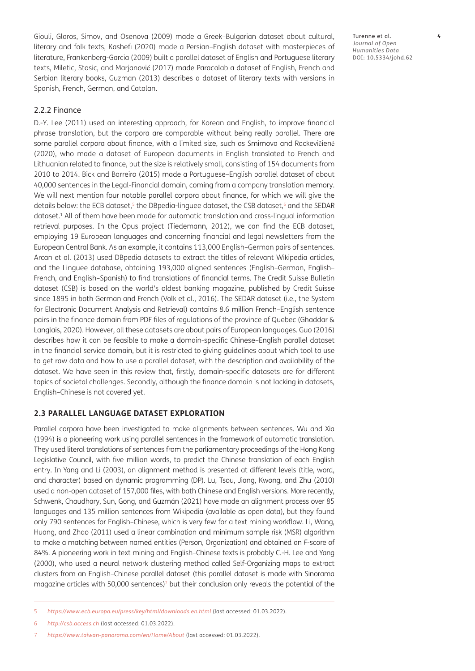[Giouli, Glaros, Simov, and Osenova \(2009\)](#page-9-0) made a Greek–Bulgarian dataset about cultural, literary and folk texts, [Kashefi \(2020\)](#page-9-0) made a Persian–English dataset with masterpieces of literature, [Frankenberg-Garcia \(2009\)](#page-9-0) built a parallel dataset of English and Portuguese literary texts, [Miletic, Stosic, and Marjanovi](#page-10-0)ć (2017) made Paracolab a dataset of English, French and Serbian literary books, [Guzman \(2013\)](#page-9-0) describes a dataset of literary texts with versions in Spanish, French, German, and Catalan.

2.2.2 Finance

[D.-Y. Lee \(2011\)](#page-10-0) used an interesting approach, for Korean and English, to improve financial phrase translation, but the corpora are comparable without being really parallel. There are some parallel corpora about finance, with a limited size, such as [Smirnova and Rackevi](#page-10-0)čienė [\(2020\)](#page-10-0), who made a dataset of European documents in English translated to French and Lithuanian related to finance, but the size is relatively small, consisting of 154 documents from 2010 to 2014. [Bick and Barreiro \(2015\)](#page-9-0) made a Portuguese–English parallel dataset of about 40,000 sentences in the Legal-Financial domain, coming from a company translation memory. We will next mention four notable parallel corpora about finance, for which we will give the details below: the ECB dataset,<sup>5</sup> the DBpedia-linguee dataset, the CSB dataset,<sup>6</sup> and the SEDAR dataset.<sup>1</sup> All of them have been made for automatic translation and cross-lingual information retrieval purposes. In the Opus project ([Tiedemann, 2012](#page-11-0)), we can find the ECB dataset, employing 19 European languages and concerning financial and legal newsletters from the European Central Bank. As an example, it contains 113,000 English–German pairs of sentences. [Arcan et al. \(2013\)](#page-8-1) used DBpedia datasets to extract the titles of relevant Wikipedia articles, and the Linguee database, obtaining 193,000 aligned sentences (English–German, English– French, and English–Spanish) to find translations of financial terms. The Credit Suisse Bulletin dataset (CSB) is based on the world's oldest banking magazine, published by Credit Suisse since 1895 in both German and French ([Volk et al., 2016](#page-11-0)). The SEDAR dataset (i.e., the System for Electronic Document Analysis and Retrieval) contains 8.6 million French–English sentence pairs in the finance domain from PDF files of regulations of the province of Quebec [\(Ghaddar &](#page-9-0)  [Langlais, 2020\)](#page-9-0). However, all these datasets are about pairs of European languages. [Guo \(2016\)](#page-9-0) describes how it can be feasible to make a domain-specific Chinese–English parallel dataset in the financial service domain, but it is restricted to giving guidelines about which tool to use to get raw data and how to use a parallel dataset, with the description and availability of the dataset. We have seen in this review that, firstly, domain-specific datasets are for different topics of societal challenges. Secondly, although the finance domain is not lacking in datasets, English–Chinese is not covered yet.

#### **2.3 PARALLEL LANGUAGE DATASET EXPLORATION**

Parallel corpora have been investigated to make alignments between sentences. [Wu and Xia](#page-11-0)  [\(1994\)](#page-11-0) is a pioneering work using parallel sentences in the framework of automatic translation. They used literal translations of sentences from the parliamentary proceedings of the Hong Kong Legislative Council, with five million words, to predict the Chinese translation of each English entry. In [Yang and Li \(2003\),](#page-11-0) an alignment method is presented at different levels (title, word, and character) based on dynamic programming (DP). [Lu, Tsou, Jiang, Kwong, and Zhu \(2010\)](#page-10-0) used a non-open dataset of 157,000 files, with both Chinese and English versions. More recently, [Schwenk, Chaudhary, Sun, Gong, and Guzmán \(2021\)](#page-10-0) have made an alignment process over 85 languages and 135 million sentences from Wikipedia (available as open data), but they found only 790 sentences for English–Chinese, which is very few for a text mining workflow. [Li, Wang,](#page-10-0)  [Huang, and Zhao \(2011\)](#page-10-0) used a linear combination and minimum sample risk (MSR) algorithm to make a matching between named entities (Person, Organization) and obtained an *F*-score of 84%. A pioneering work in text mining and English–Chinese texts is probably [C.-H. Lee and Yang](#page-10-0)  [\(2000\)](#page-10-0), who used a neural network clustering method called Self-Organizing maps to extract clusters from an English–Chinese parallel dataset (this parallel dataset is made with Sinorama magazine articles with 50,000 sentences) $^7$  but their conclusion only reveals the potential of the

Turenne et al. **4** *Journal of Open Humanities Data* DOI: [10.5334/johd.62](https://doi.org/10.5334/johd.62)

<sup>5</sup> *<https://www.ecb.europa.eu/press/key/html/downloads.en.html>* (last accessed: 01.03.2022).

<sup>6</sup> *<http://csb.access.ch>* (last accessed: 01.03.2022).

<sup>7</sup> *<https://www.taiwan-panorama.com/en/Home/About>* (last accessed: 01.03.2022).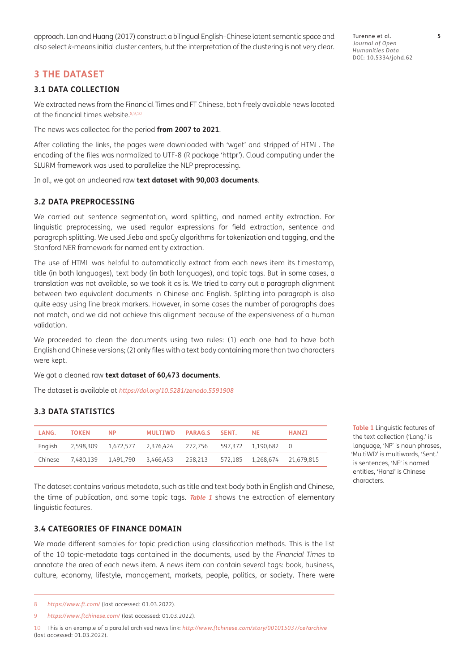approach. [Lan and Huang \(2017\)](#page-10-0) construct a bilingual English–Chinese latent semantic space and also select *k*-means initial cluster centers, but the interpretation of the clustering is not very clear.

# **3 THE DATASET**

#### **3.1 DATA COLLECTION**

We extracted news from the Financial Times and FT Chinese, both freely available news located at the financial times website.<sup>8,9,10</sup>

The news was collected for the period **from 2007 to 2021**.

After collating the links, the pages were downloaded with 'wget' and stripped of HTML. The encoding of the files was normalized to UTF-8 (R package 'httpr'). Cloud computing under the SLURM framework was used to parallelize the NLP preprocessing.

In all, we got an uncleaned raw **text dataset with 90,003 documents**.

#### **3.2 DATA PREPROCESSING**

We carried out sentence segmentation, word splitting, and named entity extraction. For linguistic preprocessing, we used regular expressions for field extraction, sentence and paragraph splitting. We used Jieba and spaCy algorithms for tokenization and tagging, and the Stanford NER framework for named entity extraction.

The use of HTML was helpful to automatically extract from each news item its timestamp, title (in both languages), text body (in both languages), and topic tags. But in some cases, a translation was not available, so we took it as is. We tried to carry out a paragraph alignment between two equivalent documents in Chinese and English. Splitting into paragraph is also quite easy using line break markers. However, in some cases the number of paragraphs does not match, and we did not achieve this alignment because of the expensiveness of a human validation.

We proceeded to clean the documents using two rules: (1) each one had to have both English and Chinese versions; (2) only files with a text body containing more than two characters were kept.

We got a cleaned raw **text dataset of 60,473 documents**.

The dataset is available at *<https://doi.org/10.5281/zenodo.5591908>*

#### **3.3 DATA STATISTICS**

| LANG.   | TOKEN | NP. | MULTIWD PARAG.S SENT.                                              |  | NF. | HANZI |
|---------|-------|-----|--------------------------------------------------------------------|--|-----|-------|
|         |       |     | English 2,598,309 1,672,577 2,376,424 272,756 597,372 1,190,682 0  |  |     |       |
| Chinese |       |     | 7,480,139 1,491,790 3,466,453 258,213 572,185 1,268,674 21,679,815 |  |     |       |

<span id="page-4-0"></span>**Table 1** Linguistic features of the text collection ('Lang.' is language, 'NP' is noun phrases, 'MultiWD' is multiwords, 'Sent.' is sentences, 'NE' is named entities, 'Hanzi' is Chinese characters.

The dataset contains various metadata, such as title and text body both in English and Chinese, the time of publication, and some topic tags. **[Table 1](#page-4-0)** shows the extraction of elementary linguistic features.

### **3.4 CATEGORIES OF FINANCE DOMAIN**

We made different samples for topic prediction using classification methods. This is the list of the 10 topic-metadata tags contained in the documents, used by the *Financial Times* to annotate the area of each news item. A news item can contain several tags: book, business, culture, economy, lifestyle, management, markets, people, politics, or society. There were

10 This is an example of a parallel archived news link: *<http://www.ftchinese.com/story/001015037/ce?archive>* (last accessed: 01.03.2022).

<sup>8</sup> *<https://www.ft.com/>* (last accessed: 01.03.2022).

<sup>9</sup> *<https://www.ftchinese.com/>* (last accessed: 01.03.2022).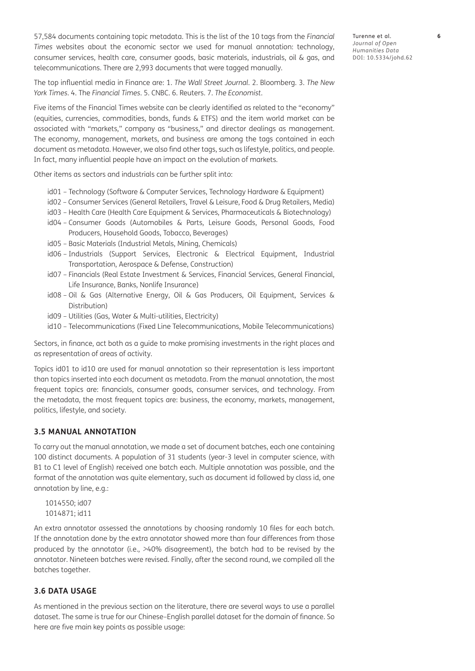57,584 documents containing topic metadata. This is the list of the 10 tags from the *Financial Times* websites about the economic sector we used for manual annotation: technology, consumer services, health care, consumer goods, basic materials, industrials, oil & gas, and telecommunications. There are 2,993 documents that were tagged manually.

Turenne et al. **6** *Journal of Open Humanities Data* DOI: [10.5334/johd.62](https://doi.org/10.5334/johd.62)

The top influential media in Finance are: 1. *The Wall Street Journal*. 2. Bloomberg. 3. *The New York Times*. 4. The *Financial Times*. 5. CNBC. 6. Reuters. 7. *The Economist*.

Five items of the Financial Times website can be clearly identified as related to the "economy" (equities, currencies, commodities, bonds, funds & ETFS) and the item world market can be associated with "markets," company as "business," and director dealings as management. The economy, management, markets, and business are among the tags contained in each document as metadata. However, we also find other tags, such as lifestyle, politics, and people. In fact, many influential people have an impact on the evolution of markets.

Other items as sectors and industrials can be further split into:

- id01 Technology (Software & Computer Services, Technology Hardware & Equipment)
- id02 Consumer Services (General Retailers, Travel & Leisure, Food & Drug Retailers, Media)
- id03 Health Care (Health Care Equipment & Services, Pharmaceuticals & Biotechnology)
- id04 Consumer Goods (Automobiles & Parts, Leisure Goods, Personal Goods, Food Producers, Household Goods, Tobacco, Beverages)
- id05 Basic Materials (Industrial Metals, Mining, Chemicals)
- id06 Industrials (Support Services, Electronic & Electrical Equipment, Industrial Transportation, Aerospace & Defense, Construction)
- id07 Financials (Real Estate Investment & Services, Financial Services, General Financial, Life Insurance, Banks, Nonlife Insurance)
- id08 Oil & Gas (Alternative Energy, Oil & Gas Producers, Oil Equipment, Services & Distribution)
- id09 Utilities (Gas, Water & Multi-utilities, Electricity)
- id10 Telecommunications (Fixed Line Telecommunications, Mobile Telecommunications)

Sectors, in finance, act both as a guide to make promising investments in the right places and as representation of areas of activity.

Topics id01 to id10 are used for manual annotation so their representation is less important than topics inserted into each document as metadata. From the manual annotation, the most frequent topics are: financials, consumer goods, consumer services, and technology. From the metadata, the most frequent topics are: business, the economy, markets, management, politics, lifestyle, and society.

#### **3.5 MANUAL ANNOTATION**

To carry out the manual annotation, we made a set of document batches, each one containing 100 distinct documents. A population of 31 students (year-3 level in computer science, with B1 to C1 level of English) received one batch each. Multiple annotation was possible, and the format of the annotation was quite elementary, such as document id followed by class id, one annotation by line, e.g.:

1014550; id07 1014871; id11

An extra annotator assessed the annotations by choosing randomly 10 files for each batch. If the annotation done by the extra annotator showed more than four differences from those produced by the annotator (i.e., *>*40% disagreement), the batch had to be revised by the annotator. Nineteen batches were revised. Finally, after the second round, we compiled all the batches together.

# **3.6 DATA USAGE**

As mentioned in the previous section on the literature, there are several ways to use a parallel dataset. The same is true for our Chinese–English parallel dataset for the domain of finance. So here are five main key points as possible usage: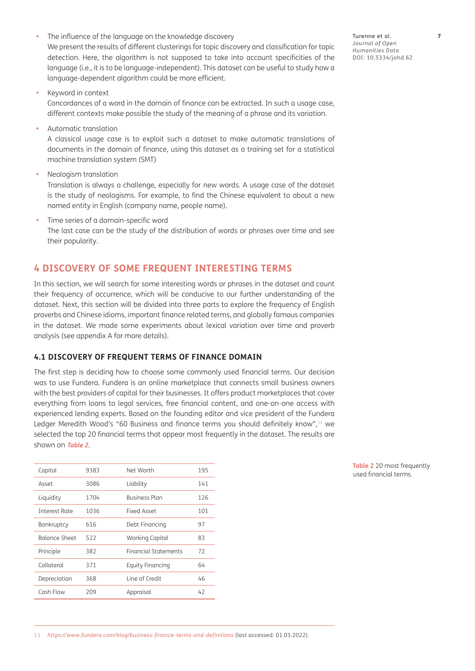The influence of the language on the knowledge discovery

We present the results of different clusterings for topic discovery and classification for topic detection. Here, the algorithm is not supposed to take into account specificities of the language (i.e., it is to be language-independent). This dataset can be useful to study how a language-dependent algorithm could be more efficient.

**•**  Keyword in context

Concordances of a word in the domain of finance can be extracted. In such a usage case, different contexts make possible the study of the meaning of a phrase and its variation.

**Automatic translation** 

A classical usage case is to exploit such a dataset to make automatic translations of documents in the domain of finance, using this dataset as a training set for a statistical machine translation system (SMT)

**Neologism translation** 

Translation is always a challenge, especially for new words. A usage case of the dataset is the study of neologisms. For example, to find the Chinese equivalent to about a new named entity in English (company name, people name).

**•**  Time series of a domain-specific word

The last case can be the study of the distribution of words or phrases over time and see their popularity.

# **4 DISCOVERY OF SOME FREQUENT INTERESTING TERMS**

In this section, we will search for some interesting words or phrases in the dataset and count their frequency of occurrence, which will be conducive to our further understanding of the dataset. Next, this section will be divided into three parts to explore the frequency of English proverbs and Chinese idioms, important finance related terms, and globally famous companies in the dataset. We made some experiments about lexical variation over time and proverb analysis (see appendix A for more details).

#### **4.1 DISCOVERY OF FREQUENT TERMS OF FINANCE DOMAIN**

The first step is deciding how to choose some commonly used financial terms. Our decision was to use Fundera. Fundera is an online marketplace that connects small business owners with the best providers of capital for their businesses. It offers product marketplaces that cover everything from loans to legal services, free financial content, and one-on-one access with experienced lending experts. Based on the founding editor and vice president of the Fundera Ledger Meredith Wood's "60 Business and finance terms you should definitely know",<sup>11</sup> we selected the top 20 financial terms that appear most frequently in the dataset. The results are shown on **[Table 2](#page-6-0)**.

| Capital       | 9383 | Net Worth            | 195 |
|---------------|------|----------------------|-----|
| Asset         | 3086 | Liability            | 141 |
| Liquidity     | 1704 | Business Plan        | 126 |
| Interest Rate | 1036 | Fixed Asset          | 101 |
| Bankruptcy    | 616  | Debt Financing       | 97  |
| Balance Sheet | 522  | Working Capital      | 83  |
| Principle     | 382  | Financial Statements | 72  |
| Collateral    | 371  | Equity Financing     | 64  |
| Depreciation  | 368  | Line of Credit       | 46  |
| Cash Flow     | 209  | Appraisal            | 42  |
|               |      |                      |     |

<span id="page-6-0"></span>**Table 2** 20 most frequently used financial terms.

11 *<https://www.fundera.com/blog/business-finance-terms-and-definitions>* (last accessed: 01.03.2022).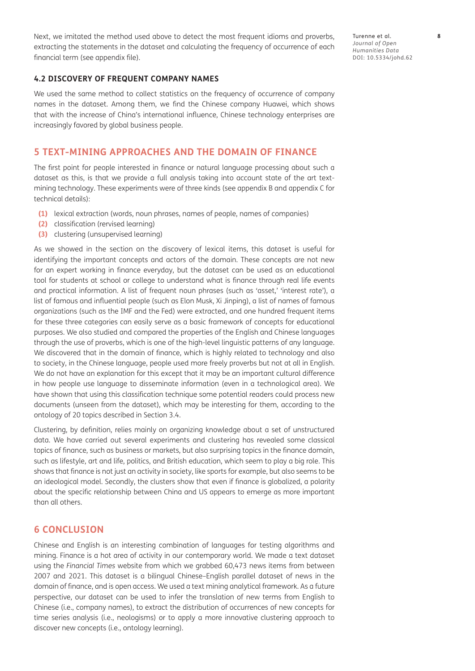Next, we imitated the method used above to detect the most frequent idioms and proverbs, extracting the statements in the dataset and calculating the frequency of occurrence of each financial term (see appendix file).

#### **4.2 DISCOVERY OF FREQUENT COMPANY NAMES**

We used the same method to collect statistics on the frequency of occurrence of company names in the dataset. Among them, we find the Chinese company Huawei, which shows that with the increase of China's international influence, Chinese technology enterprises are increasingly favored by global business people.

# **5 TEXT-MINING APPROACHES AND THE DOMAIN OF FINANCE**

The first point for people interested in finance or natural language processing about such a dataset as this, is that we provide a full analysis taking into account state of the art textmining technology. These experiments were of three kinds (see appendix B and appendix C for technical details):

- **(1)** lexical extraction (words, noun phrases, names of people, names of companies)
- **(2)** classification (rervised learning)
- **(3)** clustering (unsupervised learning)

As we showed in the section on the discovery of lexical items, this dataset is useful for identifying the important concepts and actors of the domain. These concepts are not new for an expert working in finance everyday, but the dataset can be used as an educational tool for students at school or college to understand what is finance through real life events and practical information. A list of frequent noun phrases (such as 'asset,' 'interest rate'), a list of famous and influential people (such as Elon Musk, Xi Jinping), a list of names of famous organizations (such as the IMF and the Fed) were extracted, and one hundred frequent items for these three categories can easily serve as a basic framework of concepts for educational purposes. We also studied and compared the properties of the English and Chinese languages through the use of proverbs, which is one of the high-level linguistic patterns of any language. We discovered that in the domain of finance, which is highly related to technology and also to society, in the Chinese language, people used more freely proverbs but not at all in English. We do not have an explanation for this except that it may be an important cultural difference in how people use language to disseminate information (even in a technological area). We have shown that using this classification technique some potential readers could process new documents (unseen from the dataset), which may be interesting for them, according to the ontology of 20 topics described in Section 3.4.

Clustering, by definition, relies mainly on organizing knowledge about a set of unstructured data. We have carried out several experiments and clustering has revealed some classical topics of finance, such as business or markets, but also surprising topics in the finance domain, such as lifestyle, art and life, politics, and British education, which seem to play a big role. This shows that finance is not just an activity in society, like sports for example, but also seems to be an ideological model. Secondly, the clusters show that even if finance is globalized, a polarity about the specific relationship between China and US appears to emerge as more important than all others.

#### **6 CONCLUSION**

Chinese and English is an interesting combination of languages for testing algorithms and mining. Finance is a hot area of activity in our contemporary world. We made a text dataset using the *Financial Times* website from which we grabbed 60,473 news items from between 2007 and 2021. This dataset is a bilingual Chinese–English parallel dataset of news in the domain of finance, and is open access. We used a text mining analytical framework. As a future perspective, our dataset can be used to infer the translation of new terms from English to Chinese (i.e., company names), to extract the distribution of occurrences of new concepts for time series analysis (i.e., neologisms) or to apply a more innovative clustering approach to discover new concepts (i.e., ontology learning).

Turenne et al. **8** *Journal of Open Humanities Data* DOI: [10.5334/johd.62](https://doi.org/10.5334/johd.62)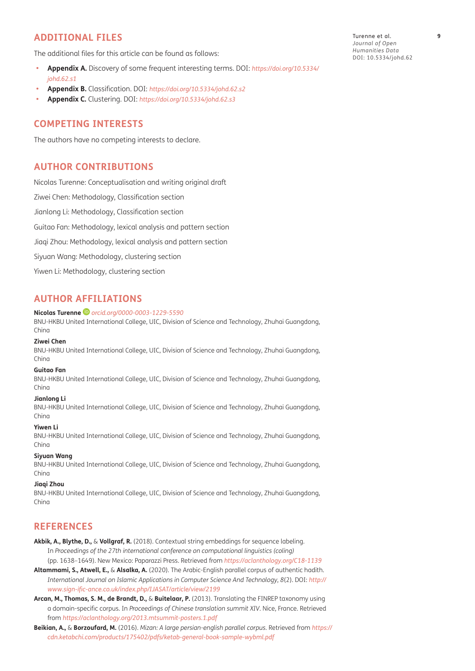# <span id="page-8-1"></span>**ADDITIONAL FILES**

The additional files for this article can be found as follows:

- **• Appendix A.** Discovery of some frequent interesting terms. DOI: *[https://doi.org/10.5334/](https://doi.org/10.5334/johd.62.s1) [johd.62.s1](https://doi.org/10.5334/johd.62.s1)*
- **• Appendix B.** Classification. DOI: *<https://doi.org/10.5334/johd.62.s2>*
- **• Appendix C.** Clustering. DOI: *<https://doi.org/10.5334/johd.62.s3>*

# **COMPETING INTERESTS**

The authors have no competing interests to declare.

# **AUTHOR CONTRIBUTIONS**

Nicolas Turenne: Conceptualisation and writing original draft Ziwei Chen: Methodology, Classification section Jianlong Li: Methodology, Classification section Guitao Fan: Methodology, lexical analysis and pattern section Jiaqi Zhou: Methodology, lexical analysis and pattern section Siyuan Wang: Methodology, clustering section Yiwen Li: Methodology, clustering section

# <span id="page-8-0"></span>**AUTHOR AFFILIATIONS**

#### **Nicolas Turenne** *[orcid.org/0000-0003-1229-5590](https://orcid.org/0000-0003-1229-5590)*

BNU-HKBU United International College, UIC, Division of Science and Technology, Zhuhai Guangdong, China

#### **Ziwei Chen**

BNU-HKBU United International College, UIC, Division of Science and Technology, Zhuhai Guangdong, China

#### **Guitao Fan**

BNU-HKBU United International College, UIC, Division of Science and Technology, Zhuhai Guangdong, China

#### **Jianlong Li**

BNU-HKBU United International College, UIC, Division of Science and Technology, Zhuhai Guangdong, China

#### **Yiwen Li**

BNU-HKBU United International College, UIC, Division of Science and Technology, Zhuhai Guangdong, China

#### **Siyuan Wang**

BNU-HKBU United International College, UIC, Division of Science and Technology, Zhuhai Guangdong, China

#### **Jiaqi Zhou**

BNU-HKBU United International College, UIC, Division of Science and Technology, Zhuhai Guangdong, China

# **REFERENCES**

- **Akbik, A., Blythe, D.,** & **Vollgraf, R.** (2018). Contextual string embeddings for sequence labeling. In *Proceedings of the 27th international conference on computational linguistics (coling)*  (pp. 1638–1649). New Mexico: Paparazzi Press. Retrieved from *<https://aclanthology.org/C18-1139>*
- **Altammami, S., Atwell, E.,** & **Alsalka, A.** (2020). The Arabic-English parallel corpus of authentic hadith. *International Journal on Islamic Applications in Computer Science And Technology*, *8*(2). DOI: *[http://](http://www.sign-ific-ance.co.uk/index.php/IJASAT/article/view/2199) [www.sign-ific-ance.co.uk/index.php/IJASAT/article/view/2199](http://www.sign-ific-ance.co.uk/index.php/IJASAT/article/view/2199)*
- **Arcan, M., Thomas, S. M., de Brandt, D.,** & **Buitelaar, P.** (2013). Translating the FINREP taxonomy using a domain-specific corpus. In *Proceedings of Chinese translation summit XIV*. Nice, France. Retrieved from *<https://aclanthology.org/2013.mtsummit-posters.1.pdf>*
- **Beikian, A.,** & **Borzoufard, M.** (2016). *Mizan: A large persian-english parallel corpus.* Retrieved from *[https://](https://cdn.ketabchi.com/products/175402/pdfs/ketab-general-book-sample-wybml.pdf) [cdn.ketabchi.com/products/175402/pdfs/ketab-general-book-sample-wybml.pdf](https://cdn.ketabchi.com/products/175402/pdfs/ketab-general-book-sample-wybml.pdf)*

Turenne et al. **9** *Journal of Open Humanities Data* DOI: [10.5334/johd.62](https://doi.org/10.5334/johd.62)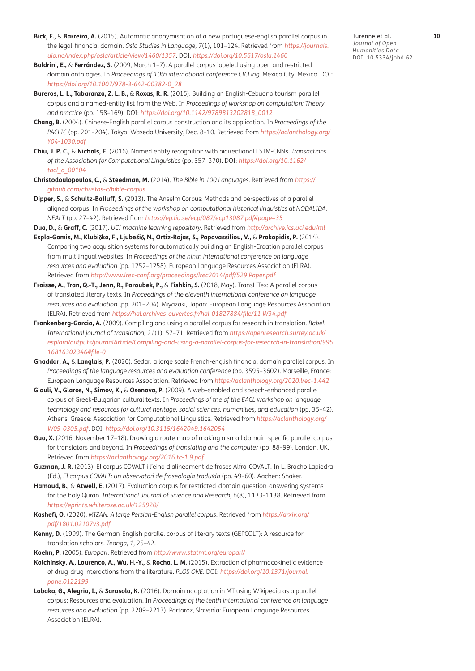- <span id="page-9-0"></span>**Bick, E.,** & **Barreiro, A.** (2015). Automatic anonymisation of a new portuguese-english parallel corpus in the legal-financial domain. *Oslo Studies in Language, 7*(1), 101–124. Retrieved from *[https://journals.](https://journals.uio.no/index.php/osla/article/view/1460/1357) [uio.no/index.php/osla/article/view/1460/1357](https://journals.uio.no/index.php/osla/article/view/1460/1357)*. DOI: *<https://doi.org/10.5617/osla.1460>*
- **Boldrini, E.,** & **Ferrández, S.** (2009, March 1–7). A parallel corpus labeled using open and restricted domain ontologies. In *Proceedings of 10th international conference CICLing.* Mexico City, Mexico. DOI: *[https://doi.org/10.1007/978-3-642-00382-0\\_28](https://doi.org/10.1007/978-3-642-00382-0_28)*
- **Bureros, L. L., Tabaranza, Z. L. B.,** & **Roxas, R. R.** (2015). Building an English-Cebuano tourism parallel corpus and a named-entity list from the Web. In *Proceedings of workshop on computation: Theory and practice* (pp. 158–169). DOI: *[https://doi.org/10.1142/9789813202818\\_0012](https://doi.org/10.1142/9789813202818_0012)*
- **Chang, B.** (2004). Chinese-English parallel corpus construction and its application. In *Proceedings of the PACLIC* (pp. 201–204). Tokyo: Waseda University, Dec. 8–10. Retrieved from *[https://aclanthology.org/](https://aclanthology.org/Y04-1030.pdf) [Y04-1030.pdf](https://aclanthology.org/Y04-1030.pdf)*
- **Chiu, J. P. C.,** & **Nichols, E.** (2016). Named entity recognition with bidirectional LSTM-CNNs. *Transactions of the Association for Computational Linguistics* (pp. 357–370). DOI: *[https://doi.org/10.1162/](https://doi.org/10.1162/tacl_a_00104) [tacl\\_a\\_00104](https://doi.org/10.1162/tacl_a_00104)*
- **Christodoulopoulos, C.,** & **Steedman, M.** (2014). *The Bible in 100 Languages*. Retrieved from *[https://](https://github.com/christos-c/bible-corpus) [github.com/christos-c/bible-corpus](https://github.com/christos-c/bible-corpus)*
- **Dipper, S.,** & **Schultz-Balluff, S.** (2013). The Anselm Corpus: Methods and perspectives of a parallel aligned corpus. In *Proceedings of the workshop on computational historical linguistics at NODALIDA. NEALT* (pp. 27–42). Retrieved from *<https://ep.liu.se/ecp/087/ecp13087.pdf#page=35>*

**Dua, D.,** & **Graff, C.** (2017). *UCI machine learning repository*. Retrieved from *<http://archive.ics.uci.edu/ml>*

- **Espla-Gomis, M., Klubi**č**ka, F., Ljubeši**ć**, N., Ortiz-Rojas, S., Papavassiliou, V.,** & **Prokopidis, P.** (2014). Comparing two acquisition systems for automatically building an English-Croatian parallel corpus from multilingual websites. In *Proceedings of the ninth international conference on language resources and evaluation* (pp. 1252–1258). European Language Resources Association (ELRA). Retrieved from *<http://www.lrec-conf.org/proceedings/lrec2014/pdf/529 Paper.pdf>*
- **Fraisse, A., Tran, Q.-T., Jenn, R., Paroubek, P.,** & **Fishkin, S.** (2018, May). TransLiTex: A parallel corpus of translated literary texts. In *Proceedings of the eleventh international conference on language resources and evaluation* (pp. 201–204). Miyazaki, Japan: European Language Resources Association (ELRA). Retrieved from *<https://hal.archives-ouvertes.fr/hal-01827884/file/11 W34.pdf>*
- **Frankenberg-Garcia, A.** (2009). Compiling and using a parallel corpus for research in translation. *Babel: International journal of translation, 21*(1), 57–71. Retrieved from *[https://openresearch.surrey.ac.uk/](https://openresearch.surrey.ac.uk/esploro/outputs/journalArticle/Compiling-and-using-a-parallel-corpus-for-research-in-translation/99516816302346#file-0) [esploro/outputs/journalArticle/Compiling-and-using-a-parallel-corpus-for-research-in-translation/995](https://openresearch.surrey.ac.uk/esploro/outputs/journalArticle/Compiling-and-using-a-parallel-corpus-for-research-in-translation/99516816302346#file-0) [16816302346#file-0](https://openresearch.surrey.ac.uk/esploro/outputs/journalArticle/Compiling-and-using-a-parallel-corpus-for-research-in-translation/99516816302346#file-0)*
- **Ghaddar, A.,** & **Langlais, P.** (2020). Sedar: a large scale French-english financial domain parallel corpus. In Proceedings of the language resources and evaluation conference (pp. 3595-3602). Marseille, France: European Language Resources Association. Retrieved from *<https://aclanthology.org/2020.lrec-1.442>*
- **Giouli, V., Glaros, N., Simov, K.,** & **Osenova, P.** (2009). A web-enabled and speech-enhanced parallel corpus of Greek-Bulgarian cultural texts. In *Proceedings of the of the EACL workshop on language technology and resources for cultural heritage, social sciences, humanities, and education* (pp. 35–42). Athens, Greece: Association for Computational Linguistics. Retrieved from *[https://aclanthology.org/](https://aclanthology.org/W09-0305.pdf) [W09-0305.pdf](https://aclanthology.org/W09-0305.pdf)*. DOI: *<https://doi.org/10.3115/1642049.1642054>*
- **Guo, X.** (2016, November 17–18). Drawing a route map of making a small domain-specific parallel corpus for translators and beyond. In *Proceedings of translating and the computer* (pp. 88–99). London, UK. Retrieved from *<https://aclanthology.org/2016.tc-1.9.pdf>*
- **Guzman, J. R.** (2013). El corpus COVALT i l'eina d'alineament de frases Alfra-COVALT. In L. Bracho Lapiedra (Ed.), *El corpus COVALT: un observatori de fraseologia traduïda* (pp. 49–60). Aachen: Shaker.
- **Hamoud, B.,** & **Atwell, E.** (2017). Evaluation corpus for restricted-domain question-answering systems for the holy Quran. *International Journal of Science and Research, 6*(8), 1133–1138. Retrieved from *<https://eprints.whiterose.ac.uk/125920/>*
- **Kashefi, O.** (2020). *MIZAN: A large Persian-English parallel corpus*. Retrieved from *[https://arxiv.org/](https://arxiv.org/pdf/1801.02107v3.pdf) [pdf/1801.02107v3.pdf](https://arxiv.org/pdf/1801.02107v3.pdf)*
- **Kenny, D.** (1999). The German-English parallel corpus of literary texts (GEPCOLT): A resource for translation scholars. *Teanga*, *1*, 25–42.
- **Koehn, P.** (2005). *Europarl*. Retrieved from *<http://www.statmt.org/europarl/>*
- **Kolchinsky, A., Lourenco, A., Wu, H.-Y.,** & **Rocha, L. M.** (2015). Extraction of pharmacokinetic evidence of drug-drug interactions from the literature. *PLOS ONE.* DOI: *[https://doi.org/10.1371/journal.](https://doi.org/10.1371/journal.pone.0122199) [pone.0122199](https://doi.org/10.1371/journal.pone.0122199)*
- **Labaka, G., Alegria, I.,** & **Sarasola, K.** (2016). Domain adaptation in MT using Wikipedia as a parallel corpus: Resources and evaluation. In *Proceedings of the tenth international conference on language resources and evaluation* (pp. 2209–2213). Portoroz, Slovenia: European Language Resources Association (ELRA).

Turenne et al. **10** *Journal of Open Humanities Data* DOI: [10.5334/johd.62](https://doi.org/10.5334/johd.62)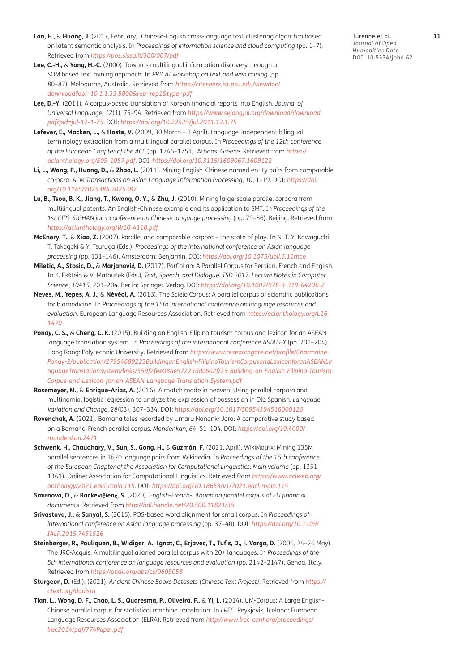- <span id="page-10-0"></span>Lan, H., & Huang, J. (2017, February). Chinese-English cross-language text clustering algorithm based on latent semantic analysis. In *Proceedings of information science and cloud computing* (pp. 1–7). Retrieved from *[https://pos.sissa.it/300/007/pdf](https://pos.sissa.it/300/007/pdf )*
- **Lee, C.-H.,** & **Yang, H.-C.** (2000). Towards multilingual information discovery through a SOM based text mining approach. In *PRICAI workshop on text and web mining* (pp. 80–87). Melbourne, Australia. Retrieved from *[https://citeseerx.ist.psu.edu/viewdoc/](https://citeseerx.ist.psu.edu/viewdoc/download?doi=10.1.1.33.8800&rep=rep1&type=pdf) [download?doi=10.1.1.33.8800&rep=rep1&type=pdf](https://citeseerx.ist.psu.edu/viewdoc/download?doi=10.1.1.33.8800&rep=rep1&type=pdf)*
- **Lee, D.-Y.** (2011). A corpus-based translation of Korean financial reports into English. *Journal of Universal Language, 12*(1), 75–94. Retrieved from *[https://www.sejongjul.org/download/download](https://www.sejongjul.org/download/download pdf?pid=jul-12-1-75)  [pdf?pid=jul-12-1-75](https://www.sejongjul.org/download/download pdf?pid=jul-12-1-75)*. DOI: *<https://doi.org/10.22425/jul.2011.12.1.75>*
- **Lefever, E., Macken, L.,** & **Hoste, V.** (2009, 30 March 3 April). Language-independent bilingual terminology extraction from a multilingual parallel corpus. In *Proceedings of the 12th conference of the European Chapter of the ACL* (pp. 1746–1751). Athens, Greece. Retrieved from *[https://](https://aclanthology.org/E09-1057.pdf) [aclanthology.org/E09-1057.pdf](https://aclanthology.org/E09-1057.pdf)*. DOI: *<https://doi.org/10.3115/1609067.1609122>*
- **Li, L., Wang, P., Huang, D.,** & **Zhao, L.** (2011). Mining English-Chinese named entity pairs from comparable corpora. *ACM Transactions on Asian Language Information Processing*, *10*, 1–19. DOI: *[https://doi.](https://doi.org/10.1145/2025384.2025387) [org/10.1145/2025384.2025387](https://doi.org/10.1145/2025384.2025387)*
- **Lu, B., Tsou, B. K., Jiang, T., Kwong, O. Y.,** & **Zhu, J.** (2010). Mining large-scale parallel corpora from multilingual patents: An English-Chinese example and its application to SMT. In *Proceedings of the 1st CIPS-SIGHAN joint conference on Chinese language processing* (pp. 79–86). Beijing. Retrieved from *<https://aclanthology.org/W10-4110.pdf>*
- **McEnery, T.,** & **Xiao, Z.** (2007). Parallel and comparable corpora the state of play. In N. T. Y. Kawaguchi T. Takagaki & Y. Tsuruga (Eds.), *Proceedings of the international conference on Asian language processing* (pp. 131–146). Amsterdam: Benjamin. DOI: *<https://doi.org/10.1075/ubli.6.11mce>*
- **Miletic, A., Stosic, D.,** & **Marjanovi**ć**, D.** (2017). ParCoLab: A Parallel Corpus for Serbian, French and English. In K. Ekštein & V. Matoušek (Eds.), *Text, Speech, and Dialogue. TSD 2017. Lecture Notes in Computer Science*, *10415*, 201–204. Berlin: Springer-Verlag. DOI: *<https://doi.org/10.1007/978-3-319-64206-2>*
- **Neves, M., Yepes, A. J.,** & **Névéol, A.** (2016). The Scielo Corpus: A parallel corpus of scientific publications for biomedicine. In *Proceedings of the 15th international conference on language resources and evaluation.* European Language Resources Association. Retrieved from *[https://aclanthology.org/L16-](https://aclanthology.org/L16-1470) [1470](https://aclanthology.org/L16-1470)*
- **Ponay, C. S.,** & **Cheng, C. K.** (2015). Building an English-Filipino tourism corpus and lexicon for an ASEAN language translation system. In *Proceedings of the international conference ASIALEX* (pp. 201–204). Hong Kong: Polytechnic University. Retrieved from *[https://www.researchgate.net/profile/Charmaine-](https://www.researchgate.net/profile/Charmaine-Ponay-2/publication/27994689223BuildinganEnglish-FilipinoTourismCorpusandLexiconforanASEANLanguageTranslationSystem/links/559f2fee08ae97223ddc602f/23-Building-an-English-Filipino-Tourism-Corpus-and-Lexicon-fo)[Ponay-2/publication/27994689223BuildinganEnglish-FilipinoTourismCorpusandLexiconforanASEANLa](https://www.researchgate.net/profile/Charmaine-Ponay-2/publication/27994689223BuildinganEnglish-FilipinoTourismCorpusandLexiconforanASEANLanguageTranslationSystem/links/559f2fee08ae97223ddc602f/23-Building-an-English-Filipino-Tourism-Corpus-and-Lexicon-fo) [nguageTranslationSystem/links/559f2fee08ae97223ddc602f/23-Building-an-English-Filipino-Tourism-](https://www.researchgate.net/profile/Charmaine-Ponay-2/publication/27994689223BuildinganEnglish-FilipinoTourismCorpusandLexiconforanASEANLanguageTranslationSystem/links/559f2fee08ae97223ddc602f/23-Building-an-English-Filipino-Tourism-Corpus-and-Lexicon-fo)[Corpus-and-Lexicon-for-an-ASEAN-Language-Translation-System.pdf](https://www.researchgate.net/profile/Charmaine-Ponay-2/publication/27994689223BuildinganEnglish-FilipinoTourismCorpusandLexiconforanASEANLanguageTranslationSystem/links/559f2fee08ae97223ddc602f/23-Building-an-English-Filipino-Tourism-Corpus-and-Lexicon-fo)*
- **Rosemeyer, M.,** & **Enrique-Arias, A.** (2016). A match made in heaven: Using parallel corpora and multinomial logistic regression to analyze the expression of possession in Old Spanish. *Language Variation and Change*, *28*(03), 307–334. DOI: *<https://doi.org/10.1017/S0954394516000120>*
- **Rovenchak, A.** (2021). Bamana tales recorded by Umaru Nanankr Jara: A comparative study based on a Bamana-French parallel corpus. *Mandenkan*, *64*, 81–104. DOI: *[https://doi.org/10.4000/](https://doi.org/10.4000/mandenkan.2471) [mandenkan.2471](https://doi.org/10.4000/mandenkan.2471)*
- **Schwenk, H., Chaudhary, V., Sun, S., Gong, H.,** & **Guzmán, F.** (2021, April). WikiMatrix: Mining 135M parallel sentences in 1620 language pairs from Wikipedia. In *Proceedings of the 16th conference*  of the European Chapter of the Association for Computational Linguistics: Main volume (pp. 1351-1361). Online: Association for Computational Linguistics. Retrieved from *[https://www.aclweb.org/](https://www.aclweb.org/anthology/2021.eacl-main.115) [anthology/2021.eacl-main.115](https://www.aclweb.org/anthology/2021.eacl-main.115)*. DOI: *<https://doi.org/10.18653/v1/2021.eacl-main.115>*
- **Smirnova, O.,** & **Rackevi**č**ien**ė**, S.** (2020). *English-French-Lithuanian parallel corpus of EU financial documents*. Retrieved from *<http://hdl.handle.net/20.500.11821/35>*
- **Srivastava, J.,** & **Sanyal, S.** (2015). POS-based word alignment for small corpus. In *Proceedings of international conference on Asian language processing* (pp. 37–40). DOI: *[https://doi.org/10.1109/](https://doi.org/10.1109/IALP.2015.7451526) [IALP.2015.7451526](https://doi.org/10.1109/IALP.2015.7451526)*
- **Steinberger, R., Pouliquen, B., Widiger, A., Ignat, C., Erjavec, T., Tufis, D.,** & **Varga, D.** (2006, 24–26 May). The JRC-Acquis: A multilingual aligned parallel corpus with 20+ languages. In *Proceedings of the 5th international conference on language resources and evaluation* (pp. 2142–2147). Genoa, Italy. Retrieved from *<https://arxiv.org/abs/cs/0609058>*
- **Sturgeon, D.** (Ed.). (2021). *Ancient Chinese Books Datasets (Chinese Text Project)*. Retrieved from *[https://](https://ctext.org/daoism) [ctext.org/daoism](https://ctext.org/daoism)*
- **Tian, L., Wong, D. F., Chao, L. S., Quaresma, P., Oliveira, F.,** & **Yi, L.** (2014). UM-Corpus: A Large English-Chinese parallel corpus for statistical machine translation. In *LREC*. Reykjavik, Iceland: European Language Resources Association (ELRA). Retrieved from *[http://www.lrec-conf.org/proceedings/](http://www.lrec-conf.org/proceedings/lrec2014/pdf/774Paper.pdf) [lrec2014/pdf/774Paper.pdf](http://www.lrec-conf.org/proceedings/lrec2014/pdf/774Paper.pdf)*

Turenne et al. **11** *Journal of Open Humanities Data* DOI: [10.5334/johd.62](https://doi.org/10.5334/johd.62)